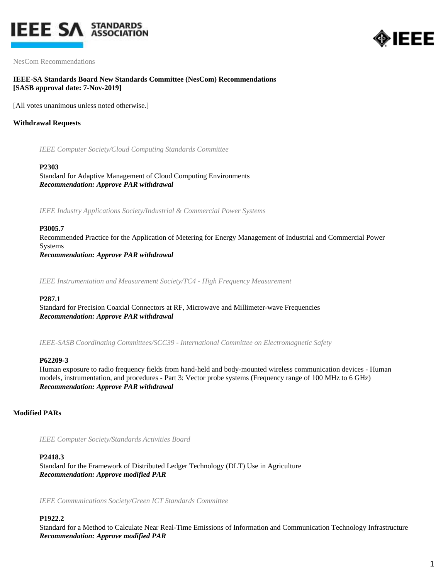



NesCom Recommendations

## **IEEE-SA Standards Board New Standards Committee (NesCom) Recommendations [SASB approval date: 7-Nov-2019]**

[All votes unanimous unless noted otherwise.]

## **Withdrawal Requests**

*IEEE Computer Society/Cloud Computing Standards Committee*

#### **P2303**

Standard for Adaptive Management of Cloud Computing Environments *Recommendation: Approve PAR withdrawal*

*IEEE Industry Applications Society/Industrial & Commercial Power Systems*

#### **P3005.7**

Recommended Practice for the Application of Metering for Energy Management of Industrial and Commercial Power Systems *Recommendation: Approve PAR withdrawal*

*IEEE Instrumentation and Measurement Society/TC4 - High Frequency Measurement*

#### **P287.1**

Standard for Precision Coaxial Connectors at RF, Microwave and Millimeter-wave Frequencies *Recommendation: Approve PAR withdrawal*

*IEEE-SASB Coordinating Committees/SCC39 - International Committee on Electromagnetic Safety*

#### **P62209-3**

Human exposure to radio frequency fields from hand-held and body-mounted wireless communication devices - Human models, instrumentation, and procedures - Part 3: Vector probe systems (Frequency range of 100 MHz to 6 GHz) *Recommendation: Approve PAR withdrawal*

### **Modified PARs**

*IEEE Computer Society/Standards Activities Board*

#### **P2418.3**

Standard for the Framework of Distributed Ledger Technology (DLT) Use in Agriculture *Recommendation: Approve modified PAR*

*IEEE Communications Society/Green ICT Standards Committee*

#### **P1922.2**

Standard for a Method to Calculate Near Real-Time Emissions of Information and Communication Technology Infrastructure *Recommendation: Approve modified PAR*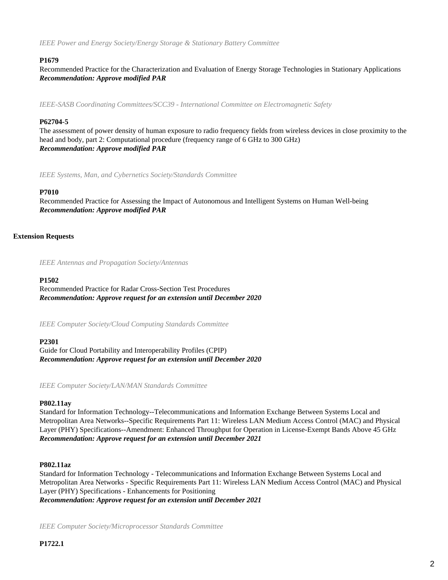*IEEE Power and Energy Society/Energy Storage & Stationary Battery Committee*

### **P1679**

Recommended Practice for the Characterization and Evaluation of Energy Storage Technologies in Stationary Applications *Recommendation: Approve modified PAR*

*IEEE-SASB Coordinating Committees/SCC39 - International Committee on Electromagnetic Safety*

### **P62704-5**

The assessment of power density of human exposure to radio frequency fields from wireless devices in close proximity to the head and body, part 2: Computational procedure (frequency range of 6 GHz to 300 GHz) *Recommendation: Approve modified PAR*

*IEEE Systems, Man, and Cybernetics Society/Standards Committee*

#### **P7010**

Recommended Practice for Assessing the Impact of Autonomous and Intelligent Systems on Human Well-being *Recommendation: Approve modified PAR*

#### **Extension Requests**

*IEEE Antennas and Propagation Society/Antennas*

#### **P1502**

Recommended Practice for Radar Cross-Section Test Procedures *Recommendation: Approve request for an extension until December 2020*

*IEEE Computer Society/Cloud Computing Standards Committee*

#### **P2301**

Guide for Cloud Portability and Interoperability Profiles (CPIP) *Recommendation: Approve request for an extension until December 2020*

*IEEE Computer Society/LAN/MAN Standards Committee*

#### **P802.11ay**

Standard for Information Technology--Telecommunications and Information Exchange Between Systems Local and Metropolitan Area Networks--Specific Requirements Part 11: Wireless LAN Medium Access Control (MAC) and Physical Layer (PHY) Specifications--Amendment: Enhanced Throughput for Operation in License-Exempt Bands Above 45 GHz *Recommendation: Approve request for an extension until December 2021*

### **P802.11az**

Standard for Information Technology - Telecommunications and Information Exchange Between Systems Local and Metropolitan Area Networks - Specific Requirements Part 11: Wireless LAN Medium Access Control (MAC) and Physical Layer (PHY) Specifications - Enhancements for Positioning

*Recommendation: Approve request for an extension until December 2021*

*IEEE Computer Society/Microprocessor Standards Committee*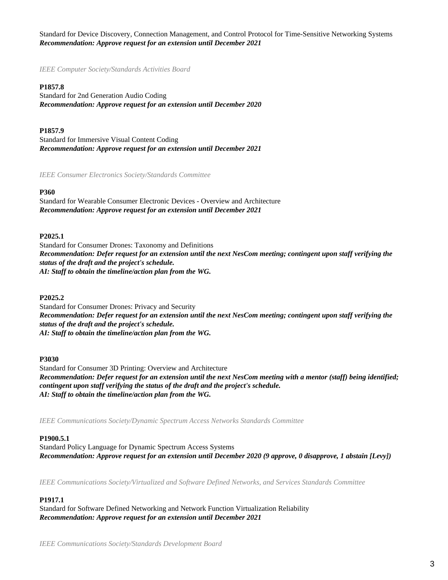Standard for Device Discovery, Connection Management, and Control Protocol for Time-Sensitive Networking Systems *Recommendation: Approve request for an extension until December 2021*

*IEEE Computer Society/Standards Activities Board*

#### **P1857.8**

Standard for 2nd Generation Audio Coding *Recommendation: Approve request for an extension until December 2020*

#### **P1857.9**

Standard for Immersive Visual Content Coding *Recommendation: Approve request for an extension until December 2021*

*IEEE Consumer Electronics Society/Standards Committee*

#### **P360**

Standard for Wearable Consumer Electronic Devices - Overview and Architecture *Recommendation: Approve request for an extension until December 2021*

#### **P2025.1**

Standard for Consumer Drones: Taxonomy and Definitions *Recommendation: Defer request for an extension until the next NesCom meeting; contingent upon staff verifying the status of the draft and the project's schedule. AI: Staff to obtain the timeline/action plan from the WG.*

#### **P2025.2**

Standard for Consumer Drones: Privacy and Security *Recommendation: Defer request for an extension until the next NesCom meeting; contingent upon staff verifying the status of the draft and the project's schedule. AI: Staff to obtain the timeline/action plan from the WG.*

#### **P3030**

Standard for Consumer 3D Printing: Overview and Architecture *Recommendation: Defer request for an extension until the next NesCom meeting with a mentor (staff) being identified; contingent upon staff verifying the status of the draft and the project's schedule. AI: Staff to obtain the timeline/action plan from the WG.*

*IEEE Communications Society/Dynamic Spectrum Access Networks Standards Committee*

#### **P1900.5.1**

Standard Policy Language for Dynamic Spectrum Access Systems *Recommendation: Approve request for an extension until December 2020 (9 approve, 0 disapprove, 1 abstain [Levy])*

*IEEE Communications Society/Virtualized and Software Defined Networks, and Services Standards Committee*

# **P1917.1**

Standard for Software Defined Networking and Network Function Virtualization Reliability *Recommendation: Approve request for an extension until December 2021*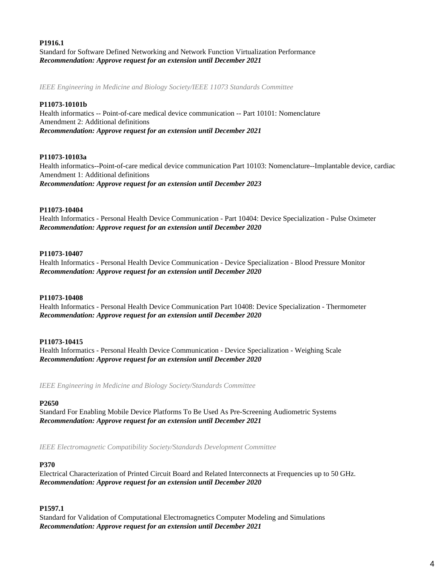# **P1916.1**

Standard for Software Defined Networking and Network Function Virtualization Performance *Recommendation: Approve request for an extension until December 2021*

*IEEE Engineering in Medicine and Biology Society/IEEE 11073 Standards Committee*

## **P11073-10101b**

Health informatics -- Point-of-care medical device communication -- Part 10101: Nomenclature Amendment 2: Additional definitions *Recommendation: Approve request for an extension until December 2021*

### **P11073-10103a**

Health informatics--Point-of-care medical device communication Part 10103: Nomenclature--Implantable device, cardiac Amendment 1: Additional definitions *Recommendation: Approve request for an extension until December 2023*

### **P11073-10404**

Health Informatics - Personal Health Device Communication - Part 10404: Device Specialization - Pulse Oximeter *Recommendation: Approve request for an extension until December 2020*

### **P11073-10407**

Health Informatics - Personal Health Device Communication - Device Specialization - Blood Pressure Monitor *Recommendation: Approve request for an extension until December 2020*

### **P11073-10408**

Health Informatics - Personal Health Device Communication Part 10408: Device Specialization - Thermometer *Recommendation: Approve request for an extension until December 2020*

### **P11073-10415**

Health Informatics - Personal Health Device Communication - Device Specialization - Weighing Scale *Recommendation: Approve request for an extension until December 2020*

*IEEE Engineering in Medicine and Biology Society/Standards Committee*

### **P2650**

Standard For Enabling Mobile Device Platforms To Be Used As Pre-Screening Audiometric Systems *Recommendation: Approve request for an extension until December 2021*

*IEEE Electromagnetic Compatibility Society/Standards Development Committee*

### **P370**

Electrical Characterization of Printed Circuit Board and Related Interconnects at Frequencies up to 50 GHz. *Recommendation: Approve request for an extension until December 2020*

### **P1597.1**

Standard for Validation of Computational Electromagnetics Computer Modeling and Simulations *Recommendation: Approve request for an extension until December 2021*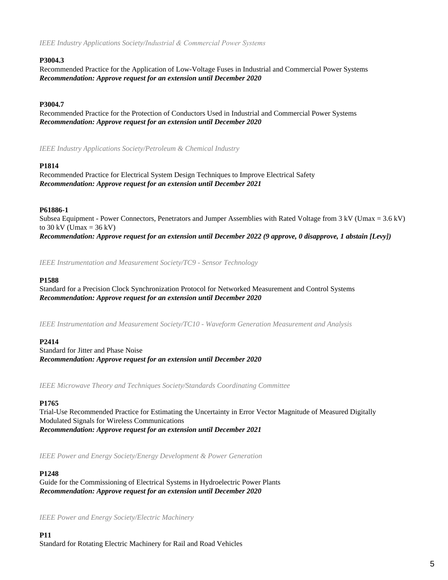*IEEE Industry Applications Society/Industrial & Commercial Power Systems*

## **P3004.3**

Recommended Practice for the Application of Low-Voltage Fuses in Industrial and Commercial Power Systems *Recommendation: Approve request for an extension until December 2020*

# **P3004.7**

Recommended Practice for the Protection of Conductors Used in Industrial and Commercial Power Systems *Recommendation: Approve request for an extension until December 2020*

*IEEE Industry Applications Society/Petroleum & Chemical Industry*

### **P1814**

Recommended Practice for Electrical System Design Techniques to Improve Electrical Safety *Recommendation: Approve request for an extension until December 2021*

### **P61886-1**

Subsea Equipment - Power Connectors, Penetrators and Jumper Assemblies with Rated Voltage from 3 kV (Umax = 3.6 kV) to  $30 \text{ kV}$  (Umax =  $36 \text{ kV}$ ) *Recommendation: Approve request for an extension until December 2022 (9 approve, 0 disapprove, 1 abstain [Levy])*

*IEEE Instrumentation and Measurement Society/TC9 - Sensor Technology*

### **P1588**

Standard for a Precision Clock Synchronization Protocol for Networked Measurement and Control Systems *Recommendation: Approve request for an extension until December 2020*

*IEEE Instrumentation and Measurement Society/TC10 - Waveform Generation Measurement and Analysis*

### **P2414**

Standard for Jitter and Phase Noise *Recommendation: Approve request for an extension until December 2020*

*IEEE Microwave Theory and Techniques Society/Standards Coordinating Committee*

### **P1765**

Trial-Use Recommended Practice for Estimating the Uncertainty in Error Vector Magnitude of Measured Digitally Modulated Signals for Wireless Communications *Recommendation: Approve request for an extension until December 2021*

*IEEE Power and Energy Society/Energy Development & Power Generation*

### **P1248**

Guide for the Commissioning of Electrical Systems in Hydroelectric Power Plants *Recommendation: Approve request for an extension until December 2020*

*IEEE Power and Energy Society/Electric Machinery*

**P11** Standard for Rotating Electric Machinery for Rail and Road Vehicles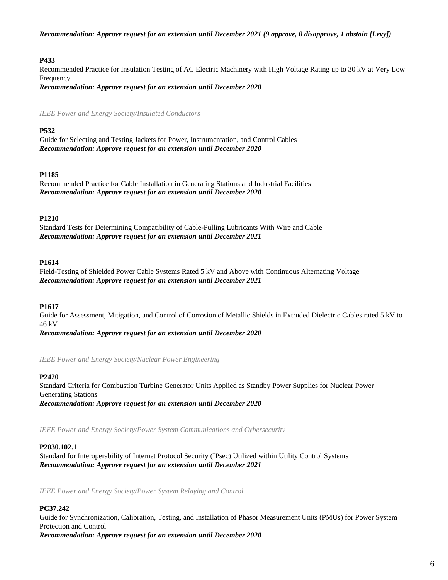*Recommendation: Approve request for an extension until December 2021 (9 approve, 0 disapprove, 1 abstain [Levy])*

# **P433**

Recommended Practice for Insulation Testing of AC Electric Machinery with High Voltage Rating up to 30 kV at Very Low Frequency

*Recommendation: Approve request for an extension until December 2020*

*IEEE Power and Energy Society/Insulated Conductors*

# **P532**

Guide for Selecting and Testing Jackets for Power, Instrumentation, and Control Cables *Recommendation: Approve request for an extension until December 2020*

# **P1185**

Recommended Practice for Cable Installation in Generating Stations and Industrial Facilities *Recommendation: Approve request for an extension until December 2020*

# **P1210**

Standard Tests for Determining Compatibility of Cable-Pulling Lubricants With Wire and Cable *Recommendation: Approve request for an extension until December 2021*

# **P1614**

Field-Testing of Shielded Power Cable Systems Rated 5 kV and Above with Continuous Alternating Voltage *Recommendation: Approve request for an extension until December 2021*

# **P1617**

Guide for Assessment, Mitigation, and Control of Corrosion of Metallic Shields in Extruded Dielectric Cables rated 5 kV to 46 kV

*Recommendation: Approve request for an extension until December 2020*

*IEEE Power and Energy Society/Nuclear Power Engineering*

# **P2420**

Standard Criteria for Combustion Turbine Generator Units Applied as Standby Power Supplies for Nuclear Power Generating Stations *Recommendation: Approve request for an extension until December 2020*

*IEEE Power and Energy Society/Power System Communications and Cybersecurity*

# **P2030.102.1**

Standard for Interoperability of Internet Protocol Security (IPsec) Utilized within Utility Control Systems *Recommendation: Approve request for an extension until December 2021*

*IEEE Power and Energy Society/Power System Relaying and Control*

# **PC37.242**

Guide for Synchronization, Calibration, Testing, and Installation of Phasor Measurement Units (PMUs) for Power System Protection and Control *Recommendation: Approve request for an extension until December 2020*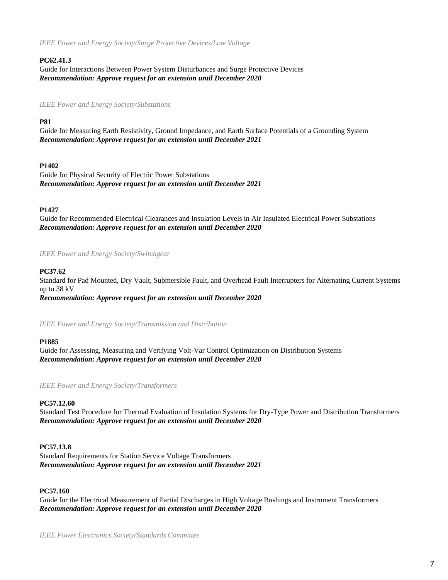*IEEE Power and Energy Society/Surge Protective Devices/Low Voltage*

# **PC62.41.3**

Guide for Interactions Between Power System Disturbances and Surge Protective Devices *Recommendation: Approve request for an extension until December 2020*

*IEEE Power and Energy Society/Substations*

# **P81**

Guide for Measuring Earth Resistivity, Ground Impedance, and Earth Surface Potentials of a Grounding System *Recommendation: Approve request for an extension until December 2021*

# **P1402**

Guide for Physical Security of Electric Power Substations *Recommendation: Approve request for an extension until December 2021*

# **P1427**

Guide for Recommended Electrical Clearances and Insulation Levels in Air Insulated Electrical Power Substations *Recommendation: Approve request for an extension until December 2020*

*IEEE Power and Energy Society/Switchgear*

### **PC37.62**

Standard for Pad Mounted, Dry Vault, Submersible Fault, and Overhead Fault Interrupters for Alternating Current Systems up to 38 kV *Recommendation: Approve request for an extension until December 2020*

*IEEE Power and Energy Society/Transmission and Distribution*

### **P1885**

Guide for Assessing, Measuring and Verifying Volt-Var Control Optimization on Distribution Systems *Recommendation: Approve request for an extension until December 2020*

*IEEE Power and Energy Society/Transformers*

### **PC57.12.60**

Standard Test Procedure for Thermal Evaluation of Insulation Systems for Dry-Type Power and Distribution Transformers *Recommendation: Approve request for an extension until December 2020*

### **PC57.13.8**

Standard Requirements for Station Service Voltage Transformers *Recommendation: Approve request for an extension until December 2021*

# **PC57.160**

Guide for the Electrical Measurement of Partial Discharges in High Voltage Bushings and Instrument Transformers *Recommendation: Approve request for an extension until December 2020*

*IEEE Power Electronics Society/Standards Committee*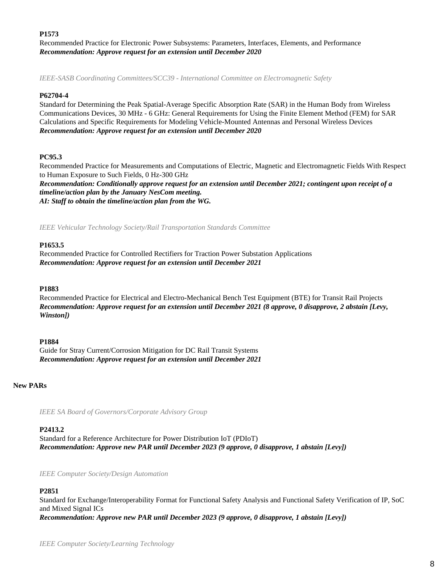**P1573**

Recommended Practice for Electronic Power Subsystems: Parameters, Interfaces, Elements, and Performance *Recommendation: Approve request for an extension until December 2020*

*IEEE-SASB Coordinating Committees/SCC39 - International Committee on Electromagnetic Safety*

#### **P62704-4**

Standard for Determining the Peak Spatial-Average Specific Absorption Rate (SAR) in the Human Body from Wireless Communications Devices, 30 MHz - 6 GHz: General Requirements for Using the Finite Element Method (FEM) for SAR Calculations and Specific Requirements for Modeling Vehicle-Mounted Antennas and Personal Wireless Devices *Recommendation: Approve request for an extension until December 2020*

### **PC95.3**

Recommended Practice for Measurements and Computations of Electric, Magnetic and Electromagnetic Fields With Respect to Human Exposure to Such Fields, 0 Hz-300 GHz

*Recommendation: Conditionally approve request for an extension until December 2021; contingent upon receipt of a timeline/action plan by the January NesCom meeting. AI: Staff to obtain the timeline/action plan from the WG.*

*IEEE Vehicular Technology Society/Rail Transportation Standards Committee*

#### **P1653.5**

Recommended Practice for Controlled Rectifiers for Traction Power Substation Applications *Recommendation: Approve request for an extension until December 2021*

#### **P1883**

Recommended Practice for Electrical and Electro-Mechanical Bench Test Equipment (BTE) for Transit Rail Projects *Recommendation: Approve request for an extension until December 2021 (8 approve, 0 disapprove, 2 abstain [Levy, Winston])*

### **P1884**

Guide for Stray Current/Corrosion Mitigation for DC Rail Transit Systems *Recommendation: Approve request for an extension until December 2021*

**New PARs**

*IEEE SA Board of Governors/Corporate Advisory Group*

### **P2413.2**

Standard for a Reference Architecture for Power Distribution IoT (PDIoT) *Recommendation: Approve new PAR until December 2023 (9 approve, 0 disapprove, 1 abstain [Levy])*

*IEEE Computer Society/Design Automation*

### **P2851**

Standard for Exchange/Interoperability Format for Functional Safety Analysis and Functional Safety Verification of IP, SoC and Mixed Signal ICs *Recommendation: Approve new PAR until December 2023 (9 approve, 0 disapprove, 1 abstain [Levy])*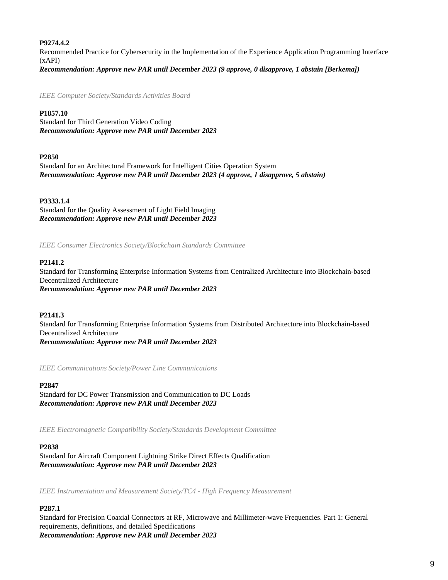## **P9274.4.2**

Recommended Practice for Cybersecurity in the Implementation of the Experience Application Programming Interface (xAPI) *Recommendation: Approve new PAR until December 2023 (9 approve, 0 disapprove, 1 abstain [Berkema])*

*IEEE Computer Society/Standards Activities Board*

# **P1857.10**

Standard for Third Generation Video Coding *Recommendation: Approve new PAR until December 2023*

### **P2850**

Standard for an Architectural Framework for Intelligent Cities Operation System *Recommendation: Approve new PAR until December 2023 (4 approve, 1 disapprove, 5 abstain)*

# **P3333.1.4**

Standard for the Quality Assessment of Light Field Imaging *Recommendation: Approve new PAR until December 2023*

*IEEE Consumer Electronics Society/Blockchain Standards Committee*

# **P2141.2**

Standard for Transforming Enterprise Information Systems from Centralized Architecture into Blockchain-based Decentralized Architecture *Recommendation: Approve new PAR until December 2023*

# **P2141.3**

Standard for Transforming Enterprise Information Systems from Distributed Architecture into Blockchain-based Decentralized Architecture *Recommendation: Approve new PAR until December 2023*

*IEEE Communications Society/Power Line Communications*

### **P2847**

Standard for DC Power Transmission and Communication to DC Loads *Recommendation: Approve new PAR until December 2023*

*IEEE Electromagnetic Compatibility Society/Standards Development Committee*

### **P2838**

Standard for Aircraft Component Lightning Strike Direct Effects Qualification *Recommendation: Approve new PAR until December 2023*

*IEEE Instrumentation and Measurement Society/TC4 - High Frequency Measurement*

# **P287.1**

Standard for Precision Coaxial Connectors at RF, Microwave and Millimeter-wave Frequencies. Part 1: General requirements, definitions, and detailed Specifications *Recommendation: Approve new PAR until December 2023*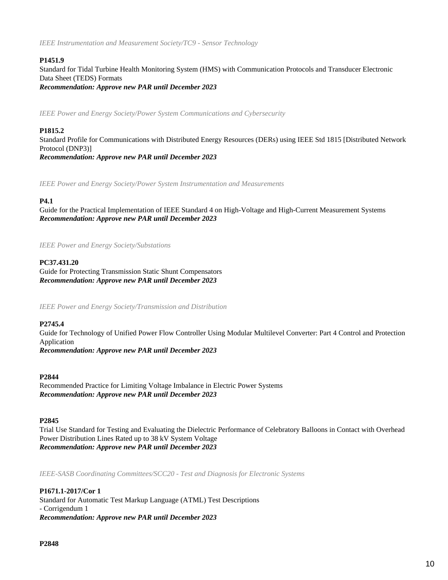*IEEE Instrumentation and Measurement Society/TC9 - Sensor Technology*

# **P1451.9**

Standard for Tidal Turbine Health Monitoring System (HMS) with Communication Protocols and Transducer Electronic Data Sheet (TEDS) Formats *Recommendation: Approve new PAR until December 2023*

*IEEE Power and Energy Society/Power System Communications and Cybersecurity*

# **P1815.2**

Standard Profile for Communications with Distributed Energy Resources (DERs) using IEEE Std 1815 [Distributed Network Protocol (DNP3)] *Recommendation: Approve new PAR until December 2023*

*IEEE Power and Energy Society/Power System Instrumentation and Measurements*

# **P4.1**

Guide for the Practical Implementation of IEEE Standard 4 on High-Voltage and High-Current Measurement Systems *Recommendation: Approve new PAR until December 2023*

*IEEE Power and Energy Society/Substations*

#### **PC37.431.20**

Guide for Protecting Transmission Static Shunt Compensators *Recommendation: Approve new PAR until December 2023*

*IEEE Power and Energy Society/Transmission and Distribution*

#### **P2745.4**

Guide for Technology of Unified Power Flow Controller Using Modular Multilevel Converter: Part 4 Control and Protection Application

*Recommendation: Approve new PAR until December 2023*

#### **P2844**

Recommended Practice for Limiting Voltage Imbalance in Electric Power Systems *Recommendation: Approve new PAR until December 2023*

#### **P2845**

Trial Use Standard for Testing and Evaluating the Dielectric Performance of Celebratory Balloons in Contact with Overhead Power Distribution Lines Rated up to 38 kV System Voltage *Recommendation: Approve new PAR until December 2023*

*IEEE-SASB Coordinating Committees/SCC20 - Test and Diagnosis for Electronic Systems*

**P1671.1-2017/Cor 1** Standard for Automatic Test Markup Language (ATML) Test Descriptions - Corrigendum 1 *Recommendation: Approve new PAR until December 2023*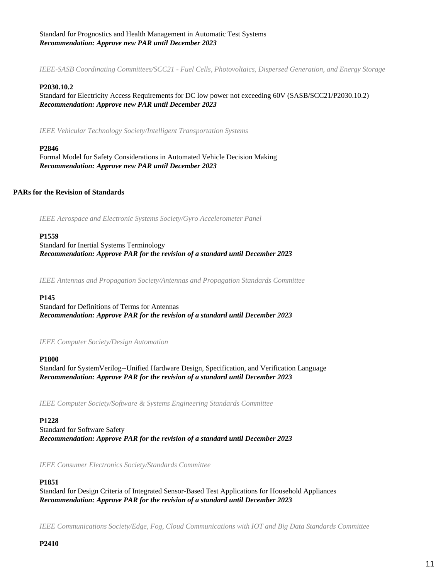## Standard for Prognostics and Health Management in Automatic Test Systems *Recommendation: Approve new PAR until December 2023*

*IEEE-SASB Coordinating Committees/SCC21 - Fuel Cells, Photovoltaics, Dispersed Generation, and Energy Storage*

### **P2030.10.2**

Standard for Electricity Access Requirements for DC low power not exceeding 60V (SASB/SCC21/P2030.10.2) *Recommendation: Approve new PAR until December 2023*

*IEEE Vehicular Technology Society/Intelligent Transportation Systems*

#### **P2846**

Formal Model for Safety Considerations in Automated Vehicle Decision Making *Recommendation: Approve new PAR until December 2023*

### **PARs for the Revision of Standards**

*IEEE Aerospace and Electronic Systems Society/Gyro Accelerometer Panel*

#### **P1559**

Standard for Inertial Systems Terminology *Recommendation: Approve PAR for the revision of a standard until December 2023*

*IEEE Antennas and Propagation Society/Antennas and Propagation Standards Committee*

#### **P145**

Standard for Definitions of Terms for Antennas *Recommendation: Approve PAR for the revision of a standard until December 2023*

*IEEE Computer Society/Design Automation*

#### **P1800**

Standard for SystemVerilog--Unified Hardware Design, Specification, and Verification Language *Recommendation: Approve PAR for the revision of a standard until December 2023*

*IEEE Computer Society/Software & Systems Engineering Standards Committee*

#### **P1228**

Standard for Software Safety *Recommendation: Approve PAR for the revision of a standard until December 2023*

*IEEE Consumer Electronics Society/Standards Committee*

#### **P1851**

Standard for Design Criteria of Integrated Sensor-Based Test Applications for Household Appliances *Recommendation: Approve PAR for the revision of a standard until December 2023*

*IEEE Communications Society/Edge, Fog, Cloud Communications with IOT and Big Data Standards Committee*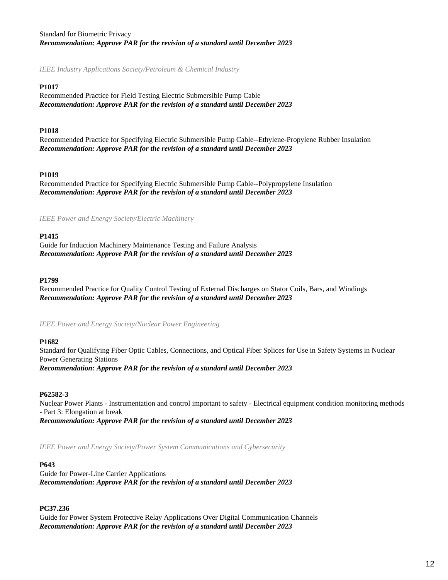# Standard for Biometric Privacy *Recommendation: Approve PAR for the revision of a standard until December 2023*

*IEEE Industry Applications Society/Petroleum & Chemical Industry*

## **P1017**

Recommended Practice for Field Testing Electric Submersible Pump Cable *Recommendation: Approve PAR for the revision of a standard until December 2023*

# **P1018**

Recommended Practice for Specifying Electric Submersible Pump Cable--Ethylene-Propylene Rubber Insulation *Recommendation: Approve PAR for the revision of a standard until December 2023*

# **P1019**

Recommended Practice for Specifying Electric Submersible Pump Cable--Polypropylene Insulation *Recommendation: Approve PAR for the revision of a standard until December 2023*

*IEEE Power and Energy Society/Electric Machinery*

# **P1415**

Guide for Induction Machinery Maintenance Testing and Failure Analysis *Recommendation: Approve PAR for the revision of a standard until December 2023*

### **P1799**

Recommended Practice for Quality Control Testing of External Discharges on Stator Coils, Bars, and Windings *Recommendation: Approve PAR for the revision of a standard until December 2023*

*IEEE Power and Energy Society/Nuclear Power Engineering*

### **P1682**

Standard for Qualifying Fiber Optic Cables, Connections, and Optical Fiber Splices for Use in Safety Systems in Nuclear Power Generating Stations *Recommendation: Approve PAR for the revision of a standard until December 2023*

### **P62582-3**

Nuclear Power Plants - Instrumentation and control important to safety - Electrical equipment condition monitoring methods - Part 3: Elongation at break *Recommendation: Approve PAR for the revision of a standard until December 2023*

*IEEE Power and Energy Society/Power System Communications and Cybersecurity*

### **P643**

Guide for Power-Line Carrier Applications *Recommendation: Approve PAR for the revision of a standard until December 2023*

### **PC37.236**

Guide for Power System Protective Relay Applications Over Digital Communication Channels *Recommendation: Approve PAR for the revision of a standard until December 2023*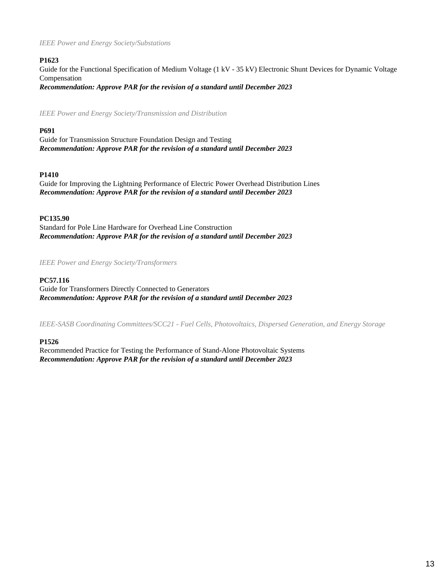### *IEEE Power and Energy Society/Substations*

## **P1623**

Guide for the Functional Specification of Medium Voltage (1 kV - 35 kV) Electronic Shunt Devices for Dynamic Voltage Compensation *Recommendation: Approve PAR for the revision of a standard until December 2023*

*IEEE Power and Energy Society/Transmission and Distribution*

## **P691**

Guide for Transmission Structure Foundation Design and Testing *Recommendation: Approve PAR for the revision of a standard until December 2023*

### **P1410**

Guide for Improving the Lightning Performance of Electric Power Overhead Distribution Lines *Recommendation: Approve PAR for the revision of a standard until December 2023*

### **PC135.90**

Standard for Pole Line Hardware for Overhead Line Construction *Recommendation: Approve PAR for the revision of a standard until December 2023*

*IEEE Power and Energy Society/Transformers*

### **PC57.116**

Guide for Transformers Directly Connected to Generators *Recommendation: Approve PAR for the revision of a standard until December 2023*

*IEEE-SASB Coordinating Committees/SCC21 - Fuel Cells, Photovoltaics, Dispersed Generation, and Energy Storage*

### **P1526**

Recommended Practice for Testing the Performance of Stand-Alone Photovoltaic Systems *Recommendation: Approve PAR for the revision of a standard until December 2023*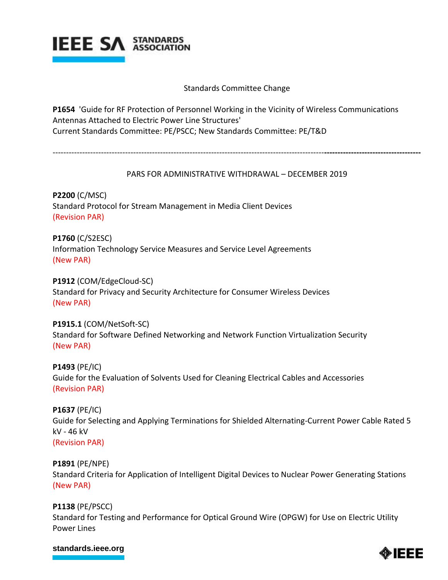

# Standards Committee Change

**P1654** 'Guide for RF Protection of Personnel Working in the Vicinity of Wireless Communications Antennas Attached to Electric Power Line Structures' Current Standards Committee: PE/PSCC; New Standards Committee: PE/T&D

-----------------------------------------------------------------------------------------------------**------------------------------------**

# PARS FOR ADMINISTRATIVE WITHDRAWAL – DECEMBER 2019

**P2200** (C/MSC) Standard Protocol for Stream Management in Media Client Devices (Revision PAR)

**P1760** (C/S2ESC) Information Technology Service Measures and Service Level Agreements (New PAR)

**P1912** (COM/EdgeCloud-SC) Standard for Privacy and Security Architecture for Consumer Wireless Devices (New PAR)

**P1915.1** (COM/NetSoft-SC) Standard for Software Defined Networking and Network Function Virtualization Security (New PAR)

**P1493** (PE/IC) Guide for the Evaluation of Solvents Used for Cleaning Electrical Cables and Accessories (Revision PAR)

**P1637** (PE/IC) Guide for Selecting and Applying Terminations for Shielded Alternating-Current Power Cable Rated 5 kV - 46 kV (Revision PAR)

**P1891** (PE/NPE) Standard Criteria for Application of Intelligent Digital Devices to Nuclear Power Generating Stations (New PAR)

**P1138** (PE/PSCC) Standard for Testing and Performance for Optical Ground Wire (OPGW) for Use on Electric Utility Power Lines

# **[standards.ieee.org](http://standards.ieee.org/)**

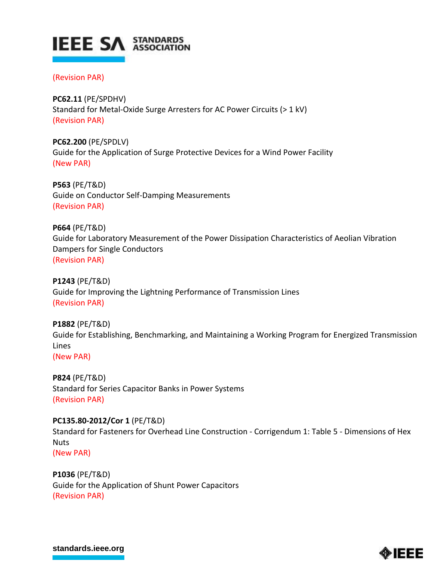

# (Revision PAR)

**PC62.11** (PE/SPDHV) Standard for Metal-Oxide Surge Arresters for AC Power Circuits (> 1 kV) (Revision PAR)

**PC62.200** (PE/SPDLV) Guide for the Application of Surge Protective Devices for a Wind Power Facility (New PAR)

**P563** (PE/T&D) Guide on Conductor Self-Damping Measurements (Revision PAR)

**P664** (PE/T&D) Guide for Laboratory Measurement of the Power Dissipation Characteristics of Aeolian Vibration Dampers for Single Conductors (Revision PAR)

**P1243** (PE/T&D) Guide for Improving the Lightning Performance of Transmission Lines (Revision PAR)

**P1882** (PE/T&D) Guide for Establishing, Benchmarking, and Maintaining a Working Program for Energized Transmission Lines (New PAR)

**P824** (PE/T&D) Standard for Series Capacitor Banks in Power Systems (Revision PAR)

**PC135.80-2012/Cor 1** (PE/T&D) Standard for Fasteners for Overhead Line Construction - Corrigendum 1: Table 5 - Dimensions of Hex **Nuts** (New PAR)

**P1036** (PE/T&D) Guide for the Application of Shunt Power Capacitors (Revision PAR)

**[standards.ieee.org](http://standards.ieee.org/)**